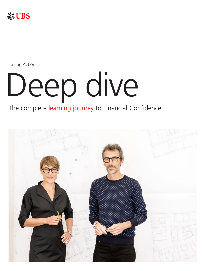

Taking Action

# Deep dive

### The complete learning journey to Financial Confidence

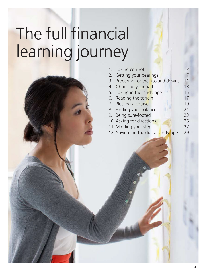# The full financial learning journey



| 1. Taking control                  | 3  |
|------------------------------------|----|
| 2. Getting your bearings           |    |
| 3. Preparing for the ups and downs | 11 |
| 4. Choosing your path              | 13 |
| 5. Taking in the landscape         | 15 |
| 6. Reading the terrain             | 17 |
| 7. Plotting a course               | 19 |
| 8. Finding your balance            | 21 |
| 9. Being sure-footed               | 23 |
| 10. Asking for directions          | 25 |
| 11. Minding your step              | 27 |

12. Navigating the digital landscape 29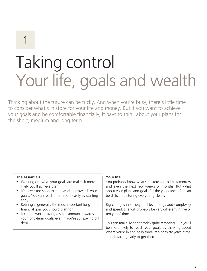# Taking control Your life, goals and wealth

Thinking about the future can be tricky. And when you're busy, there's little time to consider what's in store for your life and money. But if you want to achieve your goals and be comfortable financially, it pays to think about your plans for the short, medium and long term.

#### **The essentials**

- Working out what your goals are makes it more likely you'll achieve them.
- It's never too soon to start working towards your goals. You can reach them more easily by starting early.
- Retiring is generally the most important long-term financial goal you should plan for.
- It can be worth saving a small amount towards your long-term goals, even if you're still paying off debt.

#### **Your life**

You probably know what's in store for today, tomorrow and even the next few weeks or months. But what about your plans and goals for the years ahead? It can be difficult picturing everything clearly.

Big changes in society and technology add complexity and speed. Life will probably be very different in five or ten years' time.

This can make living for today quite tempting. But you'll be more likely to reach your goals by thinking about where you'd like to be in three, ten or thirty years' time – and starting early to get there.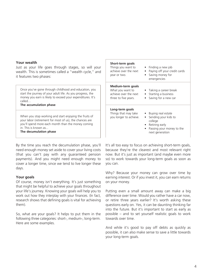#### **Your wealth**

Just as your life goes through stages, so will your wealth. This is sometimes called a "wealth cycle," and it features two phases:

Once you've gone through childhood and education, you start the journey of your adult life. As you progress, the money you earn is likely to exceed your expenditures. It's called…

#### **The accumulation phase**

When you stop working and start enjoying the fruits of your labor (retirement for most of us), the chances are you'll spend more each month than the money coming in. This is known as... **The decumulation phase**

By the time you reach the decumulation phase, you'll need enough money set aside to cover your living costs (that you can't pay with any guaranteed pension payments). And you might need enough money to cover a longer time, since we tend to live longer these days.

#### **Your goals**

Of course, money isn't everything. It's just something that might be helpful to achieve your goals throughout your life's journey. Knowing your goals will help you to work out how they interplay with your finances. (In fact, research shows that defining goals is vital for achieving them).

So, what are your goals? It helps to put them in the following three categories: short-, medium-, long-term. Here are some examples.

| Short-term goals<br>Things you want to<br>achieve over the next<br>year or two.        | $\bullet$ Finding a new job<br>Paying off your credit cards<br>Saving money for<br>emergencies                            |
|----------------------------------------------------------------------------------------|---------------------------------------------------------------------------------------------------------------------------|
| Medium-term goals<br>What you want to<br>achieve over the next<br>three to five years. | • Taking a career break<br>• Starting a business<br>Saving for a new car                                                  |
| Long-term goals<br>Things that may take<br>you longer to achieve.                      | • Buying real estate<br>Sending your kids to<br>college<br>Retiring early<br>Passing your money to the<br>next generation |

It's all too easy to focus on achieving short-term goals, because they're the clearest and most relevant right now. But it's just as important (and maybe even more so) to work towards your long-term goals as soon as you can.

Why? Because your money can grow over time by earning interest. Or if you invest it, you can earn returns on your money.

Putting even a small amount away can make a big difference over time. Would you rather have a car now, or retire three years earlier? It's worth asking these questions early on. Yes, it can be daunting thinking far into the future. But it's important to start as early as possible – and to set yourself realistic goals to work towards over time.

And while it's good to pay off debts as quickly as possible, it can also make sense to save a little towards your long-term goals.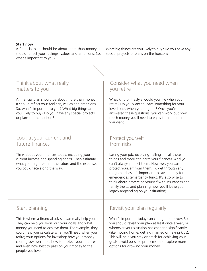#### **Start now**

A financial plan should be about more than money. It should reflect your feelings, values and ambitions. So, what's important to you?

What big things are you likely to buy? Do you have any special projects or plans on the horizon?



#### Think about what really matters to you

A financial plan should be about more than money. It should reflect your feelings, values and ambitions. So, what's important to you? What big things are you likely to buy? Do you have any special projects or plans on the horizon?

#### Look at your current and future finances

Think about your finances today, including your current income and spending habits. Then estimate what you might earn in the future and the expenses you could face along the way.

#### Consider what you need when you retire

What kind of lifestyle would you like when you retire? Do you want to leave something for your loved ones when you're gone? Once you've answered these questions, you can work out how much money you'll need to enjoy the retirement you want.

#### Protect yourself from risks

Losing your job, divorcing, falling ill – all these things and more can harm your finances. And you can't always predict them. However, you can protect yourself from them. To get through any rough patches, it's important to save money for emergencies (emergency fund). It's also wise to think about protecting yourself with insurances and family trusts, and planning how you'll leave your legacy (depending on your situation).

#### Start planning

This is where a financial adviser can really help you. They can help you work out your goals and what money you need to achieve them. For example, they could help you calculate what you'll need when you retire; your options for investing; how your money could grow over time; how to protect your finances; and even how best to pass on your money to the people you love.

#### Revisit your plan regularly

What's important today can change tomorrow. So you should revisit your plan at least once a year, or whenever your situation has changed significantly (like moving home, getting married or having kids). This will help you stay on track for achieving your goals, avoid possible problems, and explore more options for growing your money.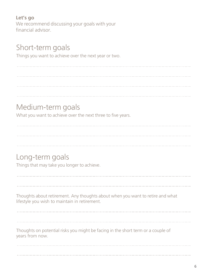#### **Let's go**

We recommend discussing your goals with your financial advisor.

### Short-term goals

Things you want to achieve over the next year or two.

### Medium-term goals

What you want to achieve over the next three to five years.

Long-term goals Things that may take you longer to achieve. Thoughts about retirement. Any thoughts about when you want to retire and what lifestyle you wish to maintain in retirement. Thoughts on potential risks you might be facing in the short term or a couple of years from now.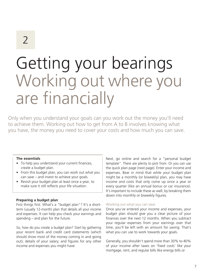# Getting your bearings Working out where you are financially

Only when you understand your goals can you work out the money you'll need to achieve them. Working out how to get from A to B involves knowing what you have, the money you need to cover your costs and how much you can save.

#### **The essentials**

- To help you understand your current finances, create a budget plan.
- From this budget plan, you can work out what you can save – and invest to achieve your goals.
- Revisit your budget plan at least once a year, to make sure it still reflects your life situation.

#### **Preparing a budget plan**

First things first. What's a "budget plan"? It's a shortterm (usually 12-month) plan that details all your income and expenses. It can help you check your earnings and spending – and plan for the future.

So, how do you create a budget plan? Start by gathering your recent bank and credit card statements (which should show most of the money coming in and going out); details of your salary; and figures for any other income and expenses you might have.

Next, go online and search for a "personal budget template". There are plenty to pick from. Or you can use the quick plan page (next page). Enter your income and expenses. Bear in mind that while your budget plan might be a monthly (or biweekly) plan, you may have income and costs that only come up once a year or every quarter (like an annual bonus or car insurance). It's important to include these as well, by breaking them down into monthly or biweekly figures.

#### Working out what you can save

Once you've entered your income and expenses, your budget plan should give you a clear picture of your finances over the next 12 months. When you subtract your regular expenses from your earnings over that time, you'll be left with an amount for saving. That's what you can use to work towards your goals.

Generally, you shouldn't spend more than 30% to 40% of your income after taxes on 'fixed costs' like your mortgage, rent, and regular bills like energy bills or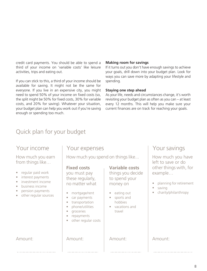credit card payments. You should be able to spend a third of your income on 'variable costs' like leisure activities, trips and eating out.

If you can stick to this, a third of your income should be available for saving. It might not be the same for everyone. If you live in an expensive city, you might need to spend 50% of your income on fixed costs (so, the split might be 50% for fixed costs, 30% for variable costs, and 20% for saving). Whatever your situation, your budget plan can help you work out if you're saving enough or spending too much.

#### **Making room for savings**

If it turns out you don't have enough savings to achieve your goals, drill down into your budget plan. Look for ways you can save more by adapting your lifestyle and spending.

#### **Staying one step ahead**

As your life, needs and circumstances change, it's worth revisiting your budget plan as often as you can – at least every 12 months. This will help you make sure your current finances are on track for reaching your goals.

#### Quick plan for your budget

#### Your income

How much you earn from things like…

- regular paid work
- interest payments
- investment income
- business income
- pension payments
- other regular sources

Your expenses

How much you spend on things like...

#### **Fixed costs**

you must pay these regularly, no matter what

- mortgage/rent
- car payments
- transportation
- phone/utilities
- groceries
- repayments
- other regular costs

#### **Variable costs**

things you decide to spend your money on

- eating out
- sports and hobbies
- vacations and travel

#### Your savings

How much you have left to save or do other things with, for example…

- planning for retirement
- saving
- charity/philanthropy

#### Amount: Amount: Amount: Amount: Amount: Amount: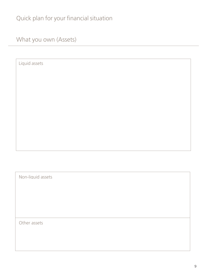### Quick plan for your financial situation

What you own (Assets)

Liquid assets

Non-liquid assets

Other assets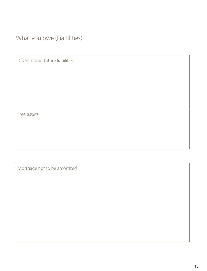What you owe (Liabilities)

Current and future liabilities

Free assets

Mortgage not to be amortized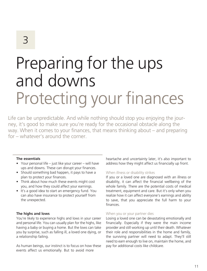# Preparing for the ups and downs Protecting your finances

Life can be unpredictable. And while nothing should stop you enjoying the journey, it's good to make sure you're ready for the occasional obstacle along the way. When it comes to your finances, that means thinking about – and preparing for – whatever's around the corner.

#### **The essentials**

- Your personal life just like your career will have ups and downs. These can disrupt your finances.
- Should something bad happen, it pays to have a plan to protect your finances.
- Think about how much these events might cost you, and how they could affect your earnings.
- It's a good idea to start an emergency fund. You can also have insurance to protect yourself from the unexpected.

#### **The highs and lows**

You're likely to experience highs and lows in your career and personal life. You can usually plan for the highs, like having a baby or buying a home. But the lows can take you by surprise, such as falling ill, a loved one dying, or a relationship failing.

As human beings, our instinct is to focus on how these events affect us emotionally. But to avoid more

heartache and uncertainty later, it's also important to address how they might affect us financially up front.

#### When illness or disability strikes

If you or a loved one are diagnosed with an illness or disability, it can affect the financial wellbeing of the whole family. There are the potential costs of medical treatment, equipment and care. But it's only when you realize how it can affect everyone's earnings and ability to save, that you appreciate the full harm to your finances.

#### When you or your partner dies

Losing a loved one can be devastating emotionally and financially. Especially if they were the main income provider and still working up until their death. Whatever their role and responsibilities in the home and family, the surviving partner will need to adapt. They'll still need to earn enough to live on, maintain the home, and pay for additional costs like childcare.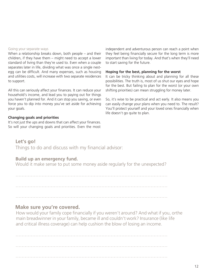#### Going your separate ways

When a relationship breaks down, both people – and their children, if they have them – might need to accept a lower standard of living than they're used to. Even when a couple separates later in life, dividing what was once a single nestegg can be difficult. And many expenses, such as housing and utilities costs, will increase with two separate residences to support.

All this can seriously affect your finances. It can reduce your household's income, and lead you to paying out for things you haven't planned for. And it can stop you saving, or even force you to dip into money you've set aside for achieving your goals.

#### **Changing goals and priorities**

It's not just the ups and downs that can affect your finances. So will your changing goals and priorities. Even the most independent and adventurous person can reach a point when they feel being financially secure for the long term is more important than living for today. And that's when they'll need to start saving for the future.

#### **Hoping for the best, planning for the worst**

It can be tricky thinking about and planning for all these possibilities. The truth is, most of us shut our eyes and hope for the best. But failing to plan for the worst (or your own shifting priorities) can mean struggling for money later.

So, it's wise to be practical and act early. It also means you can easily change your plans when you need to. The result? You'll protect yourself and your loved ones financially when life doesn't go quite to plan.

#### **Let's go!**

Things to do and discuss with my financial advisor:

#### **Build up an emergency fund.**

Would it make sense to put some money aside regularly for the unexpected?

………………………………………………………………………………………

………………………………………………………………………………………

………………………………………………………………………………………

#### **Make sure you're covered.**

How would your family cope financially if you weren't around? And what if you, orthe main breadwinner in your family, became ill and couldn't work? Insurance (like life and critical illness coverage) can help cushion the blow of losing an income.

……………………………………………………………………………………… ………………………………………………………………………………………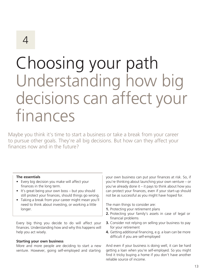### Choosing your path Understanding how big decisions can affect your finances

Maybe you think it's time to start a business or take a break from your career to pursue other goals. They're all big decisions. But how can they affect your finances now and in the future?

#### **The essentials**

- Every big decision you make will affect your finances in the long term.
- It's great being your own boss but you should still protect your finances, should things go wrong.
- Taking a break from your career might mean you'll need to think about investing, or working a little longer.

Every big thing you decide to do will affect your finances. Understanding how and why this happens will help you act wisely.

#### **Starting your own business**

More and more people are deciding to start a new venture. However, going self-employed and starting

your own business can put your finances at risk. So, if you're thinking about launching your own venture – or you've already done it – it pays to think about how you can protect your finances, even if your start-up should not be as successful as you might have hoped for.

The main things to consider are:

- **1.** Protecting your retirement plans
- **2.** Protecting your family's assets in case of legal or financial problems
- **3.** Consider not relying on selling your business to pay for your retirement
- **4.** Getting additional financing, e.g. a loan can be more difficult if you are self-employed

And even if your business is doing well, it can be hard getting a loan when you're self-employed. So you might find it tricky buying a home if you don't have another reliable source of income.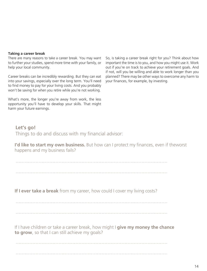#### **Taking a career break**

There are many reasons to take a career break. You may want to further your studies, spend more time with your family, or help your local community.

Career breaks can be incredibly rewarding. But they can eat into your savings, especially over the long term. You'll need to find money to pay for your living costs. And you probably won't be saving for when you retire while you're not working.

What's more, the longer you're away from work, the less opportunity you'll have to develop your skills. That might harm your future earnings.

So, is taking a career break right for you? Think about how important the time is to you, and how you might use it. Work out if you're on track to achieve your retirement goals. And if not, will you be willing and able to work longer than you planned? There may be other ways to overcome any harm to your finances, for example, by investing.

#### **Let's go!** Things to do and discuss with my financial advisor:

**I'd like to start my own business.** But how can I protect my finances, even if theworst happens and my business fails?

………………………………………………………………………………………

**If I ever take a break** from my career, how could I cover my living costs?

………………………………………………………………………………………

………………………………………………………………………………………

If I have children or take a career break, how might I **give my money the chance to grow**, so that I can still achieve my goals?

………………………………………………………………………………………

………………………………………………………………………………………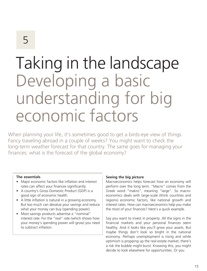### Taking in the landscape Developing a basic understanding for big economic factors

When planning your life, it's sometimes good to get a birds-eye view of things. Fancy traveling abroad in a couple of weeks? You might want to check the long-term weather forecast for that country. The same goes for managing your finances: what is the forecast of the global economy?

#### **The essentials**

- Major economic factors like inflation and interest rates can affect your finances significantly.
- A country's Gross Domestic Product (GDP) is a good sign of economic health.
- A little inflation is natural in a growing economy. But too much can devalue your savings and reduce what your money can buy (spending power).
- Most savings products advertise a "nominal" interest rate. For the "real" rate (which shows how your money's spending power will grow) you need to subtract inflation.

#### **Seeing the big picture**

Macroeconomics helps forecast how an economy will perform over the long term. "Macro" comes from the Greek word "makro", meaning "large". So macroeconomics deals with large-scale (think countries and regions) economic factors, like national growth and interest rates. How can macroeconomics help you make the most of your finances? Here's a quick example.

Say you want to invest in property. All the signs in the financial markets and your personal finances seem healthy. And it looks like you'll grow your assets. But maybe things don't look so bright in the national economy. Perhaps unemployment is rising and while optimism is propping up the real estate market, there's a risk the bubble might burst. Knowing this, you might decide to look elsewhere for opportunities. Or you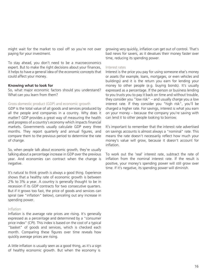might wait for the market to cool off so you're not over paying for your investment.

To stay ahead, you don't need to be a macroeconomics expert. But to make the right decisions about your finances, it helps to have a general idea of the economic concepts that could affect your money.

#### **Knowing what to look for**

So, what major economic factors should you understand? What can you learn from them?

#### Gross domestic product (GDP) and economic growth

GDP is the total value of all goods and services produced by all the people and companies in a country. Why does it matter? GDP provides a great way of measuring the health and progress of a country's economy which impacts financial markets. Governments usually calculate GDP every three months. They report quarterly and annual figures, and compare them to the previous period to determine the rate of change.

So, when people talk about economic growth, they're usually talking about a percentage increase in GDP over the previous year. And economies can contract when the change is negative.

It's natural to think growth is always a good thing. Experience shows that a healthy rate of economic growth is between 2% to 3% a year. A country is generally thought to be in recession if its GDP contracts for two consecutive quarters. But if it grows too fast, the price of goods and services can spiral (see "inflation" below), canceling out any increase in spending power.

#### Inflation

Inflation is the average rate prices are rising. It's generally expressed as a percentage and determined by a "consumer price index" (CPI). This index is based on the cost of a typical "basket" of goods and services, which is checked each month. Comparing these figures over time reveals how quickly average prices are rising.

A little inflation is usually seen as a good thing, as it's a sign of healthy economic growth. But when the economy is

growing very quickly, inflation can get out of control. That's bad news for savers, as it devalues their money faster over time, reducing its spending power.

#### Interest rates

Interest is the price you pay for using someone else's money or assets (for example, loans, mortgages, or even vehicles and buildings) and it is the return you earn for lending your money to other people (e.g. buying bonds). It's usually expressed as a percentage. If the person or business lending to you trusts you to pay it back on time and without trouble, they consider you "low risk" – and usually charge you a low interest rate. If they consider you "high risk", you'll be charged a higher rate. For savings, interest is what you earn on your money – because the company you're saving with can lend it to other people looking to borrow.

It's important to remember that the interest rate advertised on savings accounts is almost always a "nominal" rate. This means the rate doesn't necessarily reflect how much your money's value will grow, because it doesn't account for inflation.

To work out the 'real' interest rate, subtract the rate of inflation from the nominal interest rate. If the result is positive, your money's spending power will still grow over time. If it's negative, its spending power will diminish.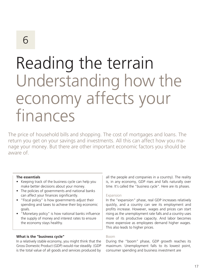### Reading the terrain Understanding how the economy affects your finances

The price of household bills and shopping. The cost of mortgages and loans. The return you get on your savings and investments. All this can affect how you manage your money. But there are other important economic factors you should be aware of.

#### **The essentials**

- Keeping track of the business cycle can help you make better decisions about your money.
- The policies of governments and national banks can affect your finances significantly.
- "Fiscal policy" is how governments adjust their spending and taxes to achieve their big economic goals.
- "Monetary policy" is how national banks influence the supply of money and interest rates to ensure the economy stays healthy.

#### **What is the "business cycle"**

In a relatively stable economy, you might think that the Gross Domestic Product (GDP) would rise steadily. (GDP is the total value of all goods and services produced by

all the people and companies in a country). The reality is, in any economy, GDP rises and falls naturally over time. It's called the "business cycle". Here are its phases.

#### Expansion

In the "expansion" phase, real GDP increases relatively quickly, and a country can see its employment and profits increase. However, wages and prices can start rising as the unemployment rate falls and a country uses more of its productive capacity. And labor becomes more expensive as employees demand higher wages. This also leads to higher prices.

#### Boom

During the "boom" phase, GDP growth reaches its maximum. Unemployment falls to its lowest point, consumer spending and business investment are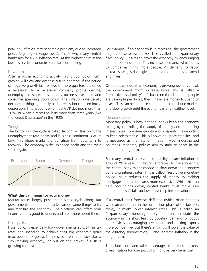peaking. Inflation may become a problem, due to increased prices (e.g. higher wage costs). That's why many central banks aim for a 2% inflation rate. At this highest point in the business cycle, economies can start contracting.

#### Downturn

After a boom economic activity might cool down. GDP growth will slow and eventually turn negative. If the period of negative growth last for two or more quarters it is called a recession. In a recession company profits decline, unemployment starts to rise quickly, business investment and consumer spending slows down. The inflation rate usually declines. If things get really bad, a recession can turn into a depression. This happens when real GDP declines more than 10%, or when a recession lasts more than three years (like the 'Great Depression' in the 1930s).

#### Trough

The bottom of the cycle is called trough. At this point the unemployment rate peaks and business sentiment is at its low. This phase marks the transition from downturn to recovery. The economy picks up speed again and the cycle starts again.



#### **What this can mean for your money**

Market forces largely push the business cycle along. But governments and national banks can do some things to try and stabilize the economy. Their actions can affect your finances so it's good to understand a bit more about them.

#### Fiscal policy

Fiscal policy is essentially how governments adjust their tax rates and spending to achieve their big economic goals (macroeconomic goals). The policies often aim to kick-start a slow-moving economy, or put on the brakes if GDP is growing too fast.

For example, if an economy is in recession, the government might choose to lower taxes. This is called an "expansionary fiscal policy". It aims to grow the economy by encouraging people to spend more. This increases demand, which leads to companies hiring more people. As demand for labor increases, wages rise – giving people more money to spend and invest.

On the other side, if an economy is growing out of control, the government might increase taxes. This is called a "restrictive fiscal policy". It's based on the idea that if people are paying higher taxes, they'll have less money to spend or invest. This can help reduce competition in the labor market, and slow growth until the economy is at a healthier level.

#### Monetary policy

Monetary policy is how national banks keep the economy strong by controlling the supply of money and influencing interest rates. To ensure growth and prosperity, it's important to keep prices stable. This is known as "price stability" and is measured as the rate of inflation. Most industrialized countries' monetary policies aim to stabilize prices in the medium to long term.

around 2% a year. If inflation is forecast to rise above this, the central bank might choose to slow down the economy by raising interest rates. This is called "restrictive monetary policy" as it reduces the supply of money by making mortgages and credit cards more expensive. While this can help cool things down, central banks must make sure inflation doesn't fall too low or even tip into deflation.

If a central bank forecasts deflation (which often happens when an economy is in the contraction phase of the business cycle), it might lower interest rates. This is called an "expansionary monetary policy". It can stimulate the economy in the short term by boosting demand for goods and services, encouraging investment and making exports more competitive. But there's a risk it will lower the value of the currency (depreciation) – and increase inflation in the longer term.

To balance out and take advantage of all these factors, diversification for your portfolio might be very beneficial.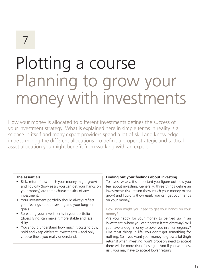# Plotting a course Planning to grow your money with investments

How your money is allocated to different investments defines the success of your investment strategy. What is explained here in simple terms in reality is a science in itself and many expert providers spend a lot of skill and knowledge in determining the different allocations. To define a proper strategic and tactical asset allocation you might benefit from working with an expert.

#### **The essentials**

- Risk, return (how much your money might grow) and liquidity (how easily you can get your hands on your money) are three characteristics of any investment.
- Your investment portfolio should always reflect your feelings about investing and your long-term goals.
- Spreading your investments in your portfolio (diversifying) can make it more stable and less risky.
- You should understand how much it costs to buy, hold and keep different investments – and only choose those you really understand.

#### **Finding out your feelings about investing**

To invest wisely, it's important you figure out how you feel about investing. Generally, three things define an investment: risk, return (how much your money might grow) and liquidity (how easily you can get your hands on your money).

#### How soon might you need to get your hands on your money?

Are you happy for your money to be tied up in an investment, where you can't access it straightaway? Will you have enough money to cover you in an emergency? Like most things in life, you don't get something for nothing. So if you want your money to grow a lot (high returns) when investing, you'll probably need to accept there will be more risk of losing it. And if you want less risk, you may have to accept lower returns.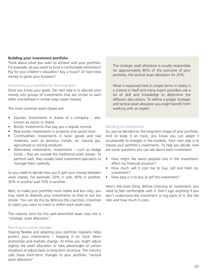#### **Building your investment portfolio**

Think about what you want to achieve with your portfolio. For example, do you want to fund a comfortable retirement? Pay for your children's education? Buy a house? Or have extra money to grow your business?

#### Structuring your portfolio for the long-term

Once you know your goals, the next step is to allocate your money into groups of investments that are similar to each other and behave in similar ways (asset classes).

The most common asset classes are:

- Equities: Investments in shares of a company also known as stocks or shares.
- Bonds: Investments that pay you a regular income.
- Real estate: Investments in property and vacant land.
- Commodities: Investments in basic goods and raw materials, such as precious metals, oil, natural gas, agricultural or mining products.
- Alternative investments: Investments such as hedge funds – that are outside the traditional asset classes. To perform well, they usually need investment specialists to manage them carefully.

So you need to decide how you'll split your money between asset classes. For example, 20% in one, 40% in another, 30% in another and 10% in another.

Next, to make your portfolio more stable and less risky, you may need to diversify your investments so they're not too similar. You can do this by defining the countries, industries or topics you want to invest in within each asset class.

The industry term for this well-diversified asset class mix is "strategic asset allocation".

#### Reacting to market changes

Staying flexible and adapting your portfolio regularly helps protect your investments – keeping it on track when economies and markets change. At times you might adjust slightly the asset allocation to take advantages of certain situations or adjust back to long-term structure. The industry calls these short-term changes to your portfolio "tactical asset allocation"

The strategic asset allocation is usually responsible for approximately 80% of the outcome of your portfolio, the tactical asset allocation for 20%.

What is explained here in simple terms in reality is a science in itself and many expert providers use a lot of skill and knowledge to determine the different allo-cations. To define a proper strategic and tactical asset allocation you might benefit from working with an expert.

#### Deciding on investments

So, you've decided on the long-term shape of your portfolio. And to keep it on track, you know you can adapt it occasionally to changes in the markets. Your next step is to choose your portfolio's investments. To help you decide, here are some questions you can ask about each investment:

- How might the worst possible loss in the investment affect my financial situation?
- How much will it cost me to buy, sell and hold my investment?
- How easy is it to buy or sell the investment?

Here's the main thing. Before choosing an investment, you need to feel comfortable with it. Don't sign anything if you don't understand the investment or big parts of it, like the risks and how much it costs.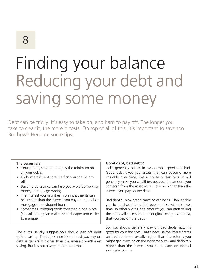# Finding your balance Reducing your debt and saving some money

Debt can be tricky. It's easy to take on, and hard to pay off. The longer you take to clear it, the more it costs. On top of all of this, it's important to save too. But how? Here are some tips.

#### **The essentials**

- Your priority should be to pay the minimum on all your debts.
- High-interest debts are the first you should pay off.
- Building up savings can help you avoid borrowing money if things go wrong.
- The interest you might earn on investments can be greater than the interest you pay on things like mortgages and student loans.
- Sometimes, bringing debts together in one place (consolidating) can make them cheaper and easier to manage.

The sums usually suggest you should pay off debt before saving. That's because the interest you pay on debt is generally higher than the interest you'll earn saving. But it's not always quite that simple.

#### **Good debt, bad debt?**

Debt generally comes in two camps: good and bad. Good debt gives you assets that can become more valuable over time, like a house or business. It will generally make you wealthier, because the amount you can earn from the asset will usually be higher than the interest you pay on the debt.

Bad debt? Think credit cards or car loans. They enable you to purchase items that become less valuable over time. In other words, the amount you can earn selling the items will be less than the original cost, plus interest, that you pay on the debt.

So, you should generally pay off bad debts first. It's good for your finances. That's because the interest rates on bad debts are usually higher than the returns you might get investing on the stock market – and definitely higher than the interest you could earn on normal savings accounts.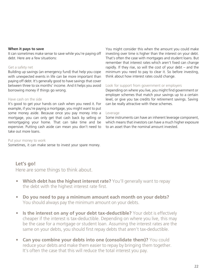#### **When it pays to save**

It can sometimes make sense to save while you're paying off debt. Here are a few situations:

#### Get a safety net

Building up savings (an emergency fund) that help you cope with unexpected events in life can be more important than paying off debt. It's generally good to have savings that cover between three to six months' income. And it helps you avoid borrowing money if things go wrong.

#### Have cash on the side

It's good to get your hands on cash when you need it. For example, if you're paying a mortgage, you might want to put some money aside. Because once you pay money into a mortgage, you can only get that cash back by selling or remortgaging your home. That can take time and be expensive. Putting cash aside can mean you don't need to take out more loans.

You might consider this when the amount you could make investing over time is higher than the interest on your debt. That's often the case with mortgages and student loans. But remember that interest rates which aren't fixed can change rapidly. If they rise, so will the cost of your debt – and the minimum you need to pay to clear it. So before investing, think about how interest rates could change.

#### Look for support from government or employers

Depending on where you live, you might find government or employer schemes that match your savings up to a certain level, or give you tax credits for retirement savings. Saving can be really attractive with these schemes.

#### Leverage

Some instruments can have an inherent leverage component, which means that investors can have a much higher exposure to an asset than the nominal amount invested.

#### Put your money to work

Sometimes, it can make sense to invest your spare money.

#### **Let's go!**

Here are some things to think about.

- **Which debt has the highest interest rate?** You'll generally want to repay the debt with the highest interest rate first.
- **Do you need to pay a minimum amount each month on your debts?** You should always pay the minimum amount on your debts.
- **Is the interest on any of your debt tax-deductible?** Your debt is effectively cheaper if the interest is tax-deductible. Depending on where you live, this may be the case for a mortgage or student loan. Assuming the interest rates are the same on your debts, you should first repay debts that aren't tax-deductible.
- **Can you combine your debts into one (consolidate them)?** You could reduce your debts and make them easier to repay by bringing them together. It's often the case that this will reduce the total interest you pay.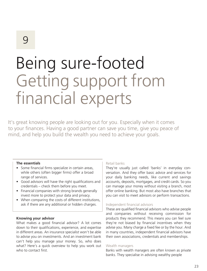# Being sure-footed Getting support from financial experts

It's great knowing people are looking out for you. Especially when it comes to your finances. Having a good partner can save you time, give you peace of mind, and help you build the wealth you need to achieve your goals.

#### **The essentials**

- Some financial firms specialize in certain areas, while others (often bigger firms) offer a broad range of services.
- Good advisors will have the right qualifications and credentials – check them before you meet.
- Financial companies with strong brands generally invest more to protect your data and privacy.
- When comparing the costs of different institutions, ask if there are any additional or hidden charges.

#### **Knowing your advisor**

What makes a good financial advisor? A lot comes down to their qualifications, experience, and expertise in different areas. An insurance specialist won't be able to advise you on investments. And an investment bank can't help you manage your money. So, who does what? Here's a quick overview to help you work out who to contact first.

#### Retail banks

They're usually just called 'banks' in everyday conversation. And they offer basic advice and services for your daily banking needs, like current and savings accounts, deposits, mortgages, and credit cards. So you can manage your money without visiting a branch, most offer online banking. But most also have branches that you can visit to meet advisors or perform transactions.

#### Independent financial advisors

These are qualified financial advisors who advise people and companies without receiving commission for products they recommend. This means you can feel sure they're not biased by financial incentives when they advise you. Many charge a fixed fee or by the hour. And in many countries, independent financial advisors have their own associations, credentials and memberships.

#### Wealth managers

Banks with wealth managers are often known as private banks. They specialise in advising wealthy people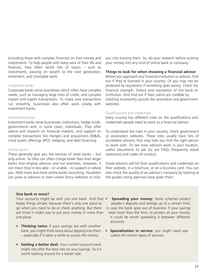(including those with complex finances) on their money and investments. To help people with every area of their life and finances, they often tackle lots of topics – such as investments, passing on wealth to the next generation, retirement, and charitable work.

#### Corporate banks

Corporate banks serve businesses which often have complex needs, such as managing large lines of credit, and complex import and export transactions. To make sure transactions run smoothly, businesses also often work closely with investment banks.

#### Investment banks

Investment banks serve businesses, institutions, hedge funds, governments and, in some cases, individuals. They offer advice and research on financial markets, and support on complex transactions like mergers and acquisitions (M&A), initial public offerings (IPO), hedging, and debt financing.

#### Online banks

These generally give you the services of retail banks – but only online. So they can often charge lower fees than larger banks that employ advisors and run branches. However, it can mean they're less able – or unable – to support or advise you. With more and more online banks launching, fraudsters can pose as advisors or even create fancy websites to trick

you into trusting them. So, do your research before putting your money into any kind of online bank or company.

#### **Things to look for when choosing a financial advisor**

Before you approach any financial institution or advisor, find out if they're licensed in your country. Or you may not be protected by regulations if something goes wrong. Check the financial strength, history and reputation of the bank or institution. And find out if their claims are credible by checking trustworthy sources like association and government websites.

#### Qualifications and credentials

Every country has different rules on the qualifications and credentials people need to work as a financial advisor.

To understand the rules in your country, check government or association websites. These sites usually have lists of accredited advisors that may help you find the right person to work with. To see how advisors work in your location, useful documents to ask for are FAQs (frequently asked questions) and codes of conduct.

Good advisors will list their qualifications and credentials on their website, in a brochure, or on a business card. You can also check the quality of an advisor's company by looking at the grades rating agencies have given them.

#### **One bank or more?**

Your accounts might be with just one bank. And that • **Spreading your money:** Some schemes protect keeps things simple, because there's only one place to people's deposits and savings up to a certain limit, go when you need to do or check anything. But there in case the bank goes out of business. If your savings are times it might pay to put your money in more than total more than the limit, to protect all your money, one place… it could be worth spreading it between different

- **Thinking twice:** If your savings are with another bank, you might think twice about dipping into them **• Specialization in service:** you might need spe- – especially if it takes a while to access the money. cialists for certain types of services.
- **Getting a better deal:** Your current account bank might not offer the best rate on your savings. So it's worth looking around for a better rate.
- accounts.
-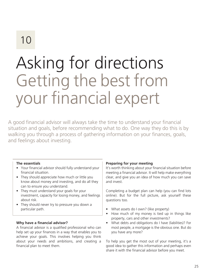# Asking for directions Getting the best from your financial expert

A good financial advisor will always take the time to understand your financial situation and goals, before recommending what to do. One way they do this is by walking you through a process of gathering information on your finances, goals, and feelings about investing.

#### **The essentials**

- Your financial advisor should fully understand your financial situation.
- They should appreciate how much or little you know about money and investing, and do all they can to ensure you understand.
- They must understand your goals for your investment, capacity for losing money, and feelings about risk.
- They should never try to pressure you down a particular path.

#### **Why have a financial advisor?**

A financial advisor is a qualified professional who can help set up your finances in a way that enables you to achieve your goals. This involves helping you think about your needs and ambitions, and creating a financial plan to meet them.

#### **Preparing for your meeting**

It's worth thinking about your financial situation before meeting a financial advisor. It will help make everything clear, and give you an idea of how much you can save and invest.

Completing a budget plan can help (you can find lots online). But for the full picture, ask yourself these questions too.

- What assets do I own? (like property)
- How much of my money is tied up in things like property, cars and other investments?
- What debts and obligations do I have (liabilities)? For most people, a mortgage is the obvious one. But do you have any more?

To help you get the most out of your meeting, it's a good idea to gather this information and perhaps even share it with the financial advisor before you meet.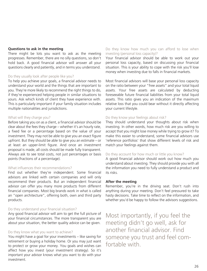#### **Questions to ask in the meeting**

There might be lots you want to ask as the meeting progresses. Remember, there are no silly questions, so don't hold back. A good financial advisor will answer all your questions clearly and patiently, and in terms you understand.

#### Do they usually look after people like you?

To help you achieve your goals, a financial advisor needs to understand your world and the things that are important to you. They're more likely to recommend the right things to do, if they're experienced helping people in similar situations to yours. Ask which kinds of client they have experience with. This is particularly important if your family situation includes multiple nationalities and jurisdictions.

#### What will they charge you?

Before taking you on as a client, a financial advisor should be clear about the fees they charge – whether it's an hourly rate, a fixed fee or a percentage based on the value of your investment. They may not be able to give you an exact figure upfront. But they should be able to give you an estimate – or at least an upper-limit figure. And once an investment proposal is made, all costs should be made fully transparent. Always ask to see total costs, not just percentages or basis points (fractions of a percentage).

#### What influences their recommendations?

Find out whether they're independent. Some financial advisors are linked with certain companies and will only recommend their products. But an independent financial advisor can offer you many more products from different financial companies. Most big brands work in what is called an "open architecture", offering both, own and third party products.

#### Do they understand your financial situation?

Any good financial advisor will aim to get the full picture of your financial circumstances. The more transparent you are about your situation, the better quality advice can be given.

#### Do they know what you want to achieve?

You might have a goal for your investments – like saving for retirement or buying a holiday home. Or you may just want to protect or grow your money. You goals and wishes can affect how you invest (your investment strategy). So it's important your advisor knows what you want to do with your investment.

#### Do they know how much you can afford to lose when investing (personal loss capacity)?

Your financial advisor should be able to work out your personal loss capacity, based on discussing your financial situation. This is your ability to cope with the risk you'll lose money when investing due to falls in financial markets.

Most financial advisors will base your personal loss capacity on the ratio between your "free assets" and your total liquid assets. Your free assets are calculated by deducting foreseeable future financial liabilities from your total liquid assets. This ratio gives you an indication of the maximum relative loss that you could bear without it directly affecting your current lifestyle.

#### Do they know your feelings about risk?

They should understand your thoughts about risk when investing. In other words, how much risk are you willing to accept that you might lose money while trying to grow it? To make this easier to understand, some financial advisors use 'reference portfolios' that show different levels of risk and match your feelings against them.

#### Do they account for how much or little you know?

A good financial advisor should work out how much you understand about investing. They should provide you with all the information you need to fully understand a product and its risks.

#### **After the meeting**

Remember, you're in the driving seat. Don't rush into anything during your meeting. Don't feel pressured to take hasty decisions. Take time to reflect on the information, and whether you'd be happy to follow the advisors suggestions.

Most importantly, if you feel the meeting didn't go well, ask for another financial advisor. Find someone you trust and feel comfortable with.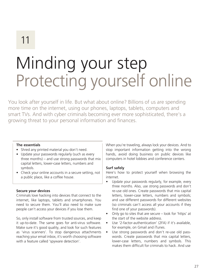# Minding your step Protecting yourself online

You look after yourself in life. But what about online? Billions of us are spending more time on the internet, using our phones, laptops, tablets, computers and smart TVs. And with cyber criminals becoming ever more sophisticated, there's a growing threat to your personal information and finances.

#### **The essentials**

- Shred any printed material you don't need.
- Update your passwords regularly (such as every three months) – and use strong passwords that mix capital letters, lower-case letters, numbers and symbols.
- Check your online accounts in a secure setting, not a public place, like a coffee house.

#### **Secure your devices**

Criminals love hacking into devices that connect to the internet, like laptops, tablets and smartphones. You need to secure them. You'll also need to make sure people can't access your devices if you lose them.

So, only install software from trusted sources, and keep it up-to-date. The same goes for anti-virus software. Make sure it's good quality, and look for such features as 'virus scanners'. To stop dangerous attachments reaching your email inbox, it's worth choosing software with a feature called 'spyware detection'.

When you're traveling, always lock your devices. And to stop important information getting into the wrong hands, avoid doing business on public devices like computers in hotel lobbies and conference centers.

#### **Surf safely**

Here's how to protect yourself when browsing the internet.

- Update your passwords regularly, for example, every three months. Also, use strong passwords and don't re-use old ones. Create passwords that mix capital letters, lower-case letters, numbers and symbols; and use different passwords for different websites (so criminals can't access all your accounts if they find one of your passwords).
- Only go to sites that are secure look for 'https' at the start of the website address.
- Use '2-factor-authentication' (2FA) if it's available, for example, on Gmail and iTunes.
- Use strong passwords and don't re-use old passwords. Create passwords that mix capital letters, lower-case letters, numbers and symbols. This makes them difficult for criminals to hack. And use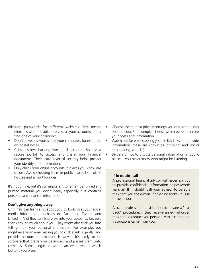different passwords for different websites. This means criminals won't be able to access all your accounts if they find one of your passwords.

- Don't leave passwords near your computer, for example, on post-it notes.
- Criminals love hacking into email accounts. So, use a secure portal to access and share your financial documents. Their extra layer of security helps protect your identity and information.
- Only check your online accounts in places you know are secure. Avoid checking them in public places like coffee houses and airport lounges.

It's not online, but it's still important to remember: shred any printed material you don't need, especially if it contains personal and financial information.

#### **Don't give anything away**

Criminals can learn a lot about you by looking at your social media information, such as on Facebook, Twitter and LinkedIn. And they can find ways into your accounts, because they know so much about you. They might also trick you into telling them your personal information. For example, you might receive an email asking you to click a link urgently, and provide account information. However, it's likely to be software that grabs your passwords and passes them onto criminals. Some illegal software can even record which buttons you press.

- Choose the highest privacy settings you can when using social media. For example, choose which people can see your posts and information.
- Watch out for emails asking you to click links and provide information (these are known as 'phishing' and 'social engineering' attacks).
- Be careful not to discuss personal information in public places – you never know who might be listening.

#### **If in doubt, call**

A professional financial advisor will never ask you to provide confidential information or passwords via mail. If in doubt, call your advisor to be sure they sent you the e-mail, if anything looks unusual or suspicious.

Also, a professional advisor should ensure a" call back" procedure: if they receive an e-mail order, they should contact you personally to ascertain the instructions came from you.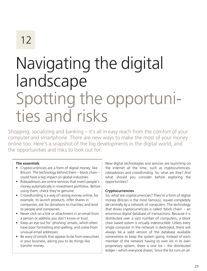### Navigating the digital landscape Spotting the opportunities and risks

Shopping, socializing and banking – it's all in easy reach from the comfort of your computer and smartphone. There are new ways to make the most of your money online too. Here's a snapshot of the big developments in the digital world, and the opportunities and risks to look out for.

#### **The essentials**

- Cryptocurrencies are a form of digital money, like Bitcoin. The technology behind them – block chain – could have a big impact on global industries.
- Roboadvisors are online services that invest people's money automatically in investment portfolios. Before using them, check they're genuine.
- Crowdfunding is a way of raising money online, for example, to launch products, offer shares in companies, ask for donations to charities, and lend to people and companies.
- Never click on a link or attachment in an email from a person or address you don't know or trust.
- Keep an eye out for 'phishing' emails, which often have poor formatting and spelling, and come from unusual email addresses.
- Be wary of emails that appear to be from executives in your business, asking you to do things like transfer money.

New digital technologies and services are launching on the internet all the time, such as cryptocurrencies, roboadvisors and crowdfunding. So, what are they? And what should you consider before exploring the opportunities?

#### **Cryptocurrencies**

So, what are cryptocurrencies? They're a form of digital money (Bitcoin is the most famous), issued completely de-centrally by a network of computers. The technology that drives cryptocurrencies is called 'block chain' – an enormous digital database of transactions. Because it is distributed over a vast number of computers, a block chain based system is virtually indestructible. Unless every single computer in the network is destroyed, there will always be a valid version of the database available somewhere to keep the system going. Instead of each member of the network having its own list in its own proprietary system, there is one list – the distributed ledger – which everyone shares. Since the list runs on an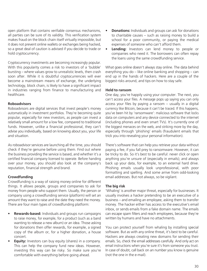open platform that contains verifiable consensus mechanisms, all parties can be sure of its validity. This verification system makes fraud on the block chain itself virtually impossible, but it does not prevent online wallets or exchanges being hacked, so a great deal of caution is advised if you decide to trade or hold cryptocurrency.

Cryptocurrency investments are becoming increasingly popular. With this popularity comes a risk to investors of a 'bubble' bursting – where values grow to unrealistic levels, then crash soon after. While it is doubtful cryptocurrencies will ever become a mainstream means of exchange, the underlying technology, block chain, is likely to have a significant impact in industries ranging from finance to manufacturing and healthcare.

#### **Roboadvisors**

Roboadvisors are digital services that invest people's money automatically in investment portfolios. They're becoming quite popular, especially for new investors, as people can invest a relatively small amount for a low fee, compared to traditional funds. However, unlike a financial professional, they can't advise you individually, based on knowing about you, your life and situation.

As roboadvisor services are launching all the time, you should check if they're genuine before using them. Find out where the business providing the service is based, and whether it's a certified financial company licensed to operate. Before handing over your money, you should also look at the company's reputation, financial strength and brand.

#### **Crowdfunding**

Crowdfunding is a way of raising money online for different things. It allows people, groups and companies to ask for money from people who support them. Usually, the person or company using a crowdfunding service (platform) will set an amount they want to raise and the date they need the money. There are four main types of crowdfunding platform:

- **Rewards-based:** Individuals and groups run campaigns to raise money, for example, for a product (such as a band wanting to release a new album) or an idea. Those asking for donations then offer rewards, for example, a signed copy of the album or, for a higher donation, a house concert.
- **Equity:** Investors can buy equity (shares) in a company. This can help the company fund new ideas. However, investing this way can be risky. So make sure you're comfortable with everything before going ahead.
- **Donations:** Individuals and groups can ask for donations to charitable causes – such as raising money to build a school for a poor community, or paying the medical expenses of someone who can't afford them.
- **Lending:** Investors can lend money to people or companies who need it. The borrowers can often repay the loans using the same crowdfunding service.

What goes online doesn't always stay online. The data behind everything you do – like online banking and shopping – can end up in the hands of hackers. Here are a couple of the biggest risks around, and tips on how to stay safe.

#### **Held to ransom**

One day, you're happily using your computer. The next, you can't access your files. A message pops up saying you can only access your files by paying a ransom – usually in a digital currency like Bitcoin, because it can't be traced. If this happens, you've been hit by 'ransomware': malicious software that locks data on computers and any device connected to the internet (including phones and even smart TVs). It's currently one of the biggest menaces on the web, and striking more by the day, especially through 'phishing' emails (fraudulent emails that trick you into revealing your personal information).

There's software that can help you retrieve your data without paying a fee, if you fall prey to ransomware. However, it can be tricky to do. So it's best to be careful: never click or open anything you're unsure of (especially in emails); and always back up your data, for example, to an external hard drive. Phishing emails usually look unprofessional, with poor formatting and spelling. And some arrive from odd-looking email addresses. But not always, so be vigilant.

#### **The big risk**

'Whaling' is another major threat, especially for businesses. It usually involves a hacker pretending to be an executive of a business – and emailing an employee, asking them to transfer money. The hacker either has access to the executive's email inbox, or sends emails from a fake domain name. The emails can escape spam filters and reach employees, because they're written by humans and have no attachments.

You can protect yourself from whaling by installing special software. But as with any online threat, it's best to be careful. Hackers are always creating new domains for sending their emails. So, check the email addresses carefully. And only act on email instructions when you're sure it's from someone you trust. In case of doubt, call back on an number you know is genuine (not the one in the e-mail).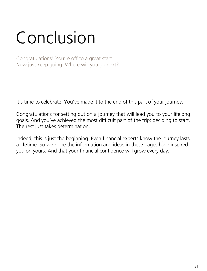# Conclusion

Congratulations! You're off to a great start! Now just keep going. Where will you go next?

It's time to celebrate. You've made it to the end of this part of your journey.

Congratulations for setting out on a journey that will lead you to your lifelong goals. And you've achieved the most difficult part of the trip: deciding to start. The rest just takes determination.

Indeed, this is just the beginning. Even financial experts know the journey lasts a lifetime. So we hope the information and ideas in these pages have inspired you on yours. And that your financial confidence will grow every day.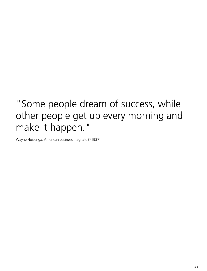### "Some people dream of success, while other people get up every morning and make it happen."

Wayne Huizenga, American business magnate (\*1937)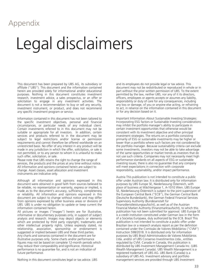### Appendix

# Legal disclaimers

This document has been prepared by UBS AG, its subsidiary or affiliate ("UBS"). This document and the information contained herein are provided solely for informational and/or educational purposes. Nothing in this document constitutes investment research, investment advice, a sales prospectus, or an offer or solicitation to engage in any investment activities. The document is not a recommendation to buy or sell any security, investment instrument, or product, and does not recommend any specific investment program or service.

Information contained in this document has not been tailored to the specific investment objectives, personal and financial circumstances, or particular needs of any individual client. Certain investments referred to in this document may not be suitable or appropriate for all investors. In addition, certain services and products referred to in the document may be subject to legal restrictions and/or license or permission requirements and cannot therefore be offered worldwide on an unrestricted basis. No offer of any interest in any product will be made in any jurisdiction in which the offer, solicitation, or sale is not permitted, or to any person to whom it is unlawful to make such offer, solicitation, or sale.

Please note that UBS retains the right to change the range of services, the products and the prices at any time without notice. All information and opinions contained herein are subject to change. Asset classes, asset allocation and investment instruments are indicative only.

Although all information and opinions expressed in this document were obtained in good faith from sources believed to be reliable, no representation or warranty, express or implied, is made as to the document's accuracy, sufficiency, completeness or reliability. All information and opinions expressed in this document are subject to change without notice and may differ from opinions expressed by other business areas or divisions of UBS. UBS is under no obligation to update or keep current the information contained herein.

All pictures or images ("images") herein are for illustrative, informative or documentary purposes only, in support of subject analysis and research. Images may depict objects or elements which are protected by third party copyright, trademarks and other intellectual property rights. Unless expressly stated, no relationship, association, sponsorship or endorsement is suggested or implied between UBS and these third parties. Any charts and scenarios contained in the document are for illustrative purposes only. Some charts and/or performance figures may not be based on complete 12-month periods which may reduce their comparability and significance. Historical performance is no guarantee for, and is not an indication of future performance.

Nothing in this document constitutes legal or tax advice. UBS

and its employees do not provide legal or tax advice. This document may not be redistributed or reproduced in whole or in part without the prior written permission of UBS. To the extent permitted by the law, neither UBS, nor any of it its directors, officers, employees or agents accepts or assumes any liability, responsibility or duty of care for any consequences, including any loss or damage, of you or anyone else acting, or refraining to act, in reliance on the information contained in this document or for any decision based on it.

Important Information About Sustainable Investing Strategies: Incorporating ESG factors or Sustainable Investing considerations may inhibit the portfolio manager's ability to participate in certain investment opportunities that otherwise would be consistent with its investment objective and other principal investment strategies. The returns on a portfolio consisting primarily of ESG or sustainable investments may be higher or lower than a portfolio where such factors are not considered by the portfolio manager. Because sustainability criteria can exclude some investments, investors may not be able to take advantage of the same opportunities or market trends as investors that do not use such criteria. Companies may not necessarily meet high performance standards on all aspects of ESG or sustainable investing issues; there is also no guarantee that any company will meet expectations in connection with corporate responsibility, sustainability, and/or impact performance.

Austria This publication is not intended to constitute a public offer under Austrian law. It is distributed only for information purposes by UBS Europe SE, Niederlassung Österreich, with place of business at Wächtergasse 1, A-1010 Wien. UBS Europe SE, Niederlassung Österreich is subject to the joint supervision of the European Central Bank ("ECB"), the German Central Bank (Deutsche Bundesbank), the German Federal Financial Services Supervisory Authority (Bundesanstalt für Finanzdienstleistungsaufsicht), as well as of the Austrian Financial Market Authority (Finanzmarktaufsicht), to which this publication has not been submitted for approval. UBS Europe SE is a credit institution constituted under German law in the form of a Societas Europaea, duly authorized by the ECB. Brazil This publication is not intended to constitute a public offer under Brazilian law or a research analysis report as per the definition contained under the Comissão de Valores Mobiliários ("CVM") Instruction 598/2018. It is distributed only for information purposes by UBS Brasil Administradora de Valores Mobiliários Ltda. and/or of UBS Consenso Investimentos Ltda., entities regulated by CVM. Canada In Canada, this publication is distributed by UBS Investment Management Canada Inc. (UBS Wealth Management Canada). UBS Wealth Management is a registered trademark of UBS AG. UBS Bank (Canada) is a subsidiary of UBS AG. Investment advisory and portfolio management services are provided through UBS Investment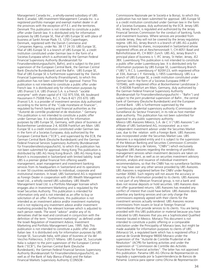Management Canada Inc., a wholly-owned subsidiary of UBS Bank (Canada). UBS Investment Management Canada Inc. is a registered portfolio manager and exempt market dealer in all the provinces with the exception of P.E.I. and the territories. Denmark This publication is not intended to constitute a public offer under Danish law. It is distributed only for information purposes by UBS Europe SE, filial af UBS Europe SE with place of business at Sankt Annae Plads 13, 1250 Copenhagen, Denmark, registered with the Danish Commerce and Companies Agency, under No. 38 17 24 33. UBS Europe SE, filial af UBS Europe SE is a branch of UBS Europe SE, a credit institution constituted under German law in the form of a Societas Europaea which is authorized by the German Federal Financial Supervisory Authority (Bundesanstalt für Finanzdienstleistungsaufsicht, BaFin), and is subject to the joint supervision of the European Central Bank, the German Central Bank (Deutsche Bundesbank) and the BaFin. UBS Europe SE, filial af UBS Europe SE is furthermore supervised by the Danish Financial Supervisory Authority (Finanstilsynet), to which this publication has not been submitted for approval. France This publication is not intended to constitute a public offer under French law. It is distributed only for information purposes by UBS (France) S.A. UBS (France) S.A. is a French "société anonyme" with share capital of € 132.975.556, 69, boulevard Haussmann F-75008 Paris, R.C.S. Paris B 421 255 670. UBS (France) S.A. is a provider of investment services duly authorized according to the terms of the "Code monétaire et financier", regulated by French banking and financial authorities as the "Autorité de contrôle prudentiel et de résolution." Germany This publication is not intended to constitute a public offer under German law. It is distributed only for information purposes by UBS Europe SE, Germany, with place of business at Bockenheimer Landstrasse 2-4, 60306 Frankfurt am Main. UBS Europe SE is a credit institution constituted under German law in the form of a Societas Europaea, duly authorized by the European Central Bank ("ECB"), and supervised by the ECB, the German Central Bank (Deutsche Bundesbank) and the German Federal Financial Services Supervisory Authority (Bundesanstalt für Finanzdienstleistungsaufsicht), to which this publication has not been submitted for approval. Hong Kong This publication is distributed by UBS AG Hong Kong Branch. UBS AG Hong Kong Branch is incorporated in Switzerland with limited liability. Israel UBS is a premier global financial firm offering wealth management, asset management and investment banking services from its headquarters in Switzerland and its operations in over 50 countries worldwide to individual, corporate and institutional investors. In Israel, UBS Switzerland AG is registered as Foreign Dealer in cooperation with UBS Wealth Management Israel Ltd., a wholly owned UBS subsidiary. UBS Wealth Management Israel Ltd. is a Portfolio Manager licensee which engages also in Investment Marketing and is regulated by the Israel Securities Authority. This publication is intended for information only and is not intended as an offer to buy or solicitation of an offer. Furthermore, this publication is not intended as an investment advice and/or investment marketing and is not replacing any investment advice and/or investment marketing provided by the relevant licensee which is adjusted to each person needs. The word "advice" and/or any of its derivatives shall be read and construed in conjunction with the definition of the term "investment marketing" as defined under the Israeli Regulation of Investment Advice, Investment Marketing and Portfolio Management Law, 1995. Italy This publication is not intended to constitute a public offer under Italian law. It is distributed only for information purposes by UBS Europe SE, Succursale Italia, with place of business at Via del Vecchio Politecnico, 3-20121 Milano. UBS Europe SE, Succursale Italia is subject to the joint supervision of the European Central Bank ("ECB"), the German Central Bank (Deutsche Bundesbank), the German Federal Financial Services Supervisory Authority (Bundesanstalt für Finanzdienstleistungsaufsicht), as well as of the Bank of Italy (Banca d'Italia) and the Italian Financial Markets Supervisory Authority (CONSOB -

Commissione Nazionale per le Società e la Borsa), to which this publication has not been submitted for approval. UBS Europe SE is a credit institution constituted under German law in the form of a Societas Europaea, duly authorized by the ECB. Jersey UBS AG, Jersey Branch, is regulated and authorized by the Jersey Financial Services Commission for the conduct of banking, funds and investment business. Where services are provided from outside Jersey, they will not be covered by the Jersey regulatory regime. UBS AG, Jersey Branch is a branch of UBS AG a public company limited by shares, incorporated in Switzerland whose registered offices are at Aeschenvorstadt 1, CH-4051 Basel and Bahnhofstrasse 45, CH 8001 Zurich. UBS AG, Jersey Branch's principal place of business is 1, IFC Jersey, St Helier, Jersey, JE2 3BX. Luxembourg This publication is not intended to constitute a public offer under Luxembourg law. It is distributed only for information purposes by UBS Europe SE, Luxembourg Branch ("UBS"), R.C.S. Luxembourg n° B209123, with registered office at 33A, Avenue J. F. Kennedy, L-1855 Luxembourg. UBS is a branch of UBS Europe SE, a credit institution constituted under German law in the form of a Societas Europaea (HRB n° 107046), with registered office at Bockenheimer Landstrasse 2- 4, D-60306 Frankfurt am Main, Germany, duly authorized by the German Federal Financial Supervisory Authority (Bundesanstalt für Finanzdienstleistungsaufsicht – "BaFin") and subject to the joint prudential supervision of BaFin , the central bank of Germany (Deutsche Bundesbank) and the European Central Bank . UBS is furthermore supervised by the Luxembourg prudential supervisory authority (Commission de Surveillance du Secteur Financier), in its role as host member state authority. This publication has not been submitted for approval to any public supervisory authority. Mexico UBS Asesores México, S.A. de C.V ("UBS Asesores") an affiliate of UBS Switzerland AG, incorporated as a nonindependent investment advisor under the Securities Market Law, due to the relation with a Foreign Bank. UBS Asesores was incorporated under the Securities Market Law. UBS Asesores is a regulated entity and it is subject to the supervision of the Mexican Banking and Securities Commission (Comisión Nacional Bancaria y de Valores, "CNBV") which exclusively regulates UBS Asesores regarding the rendering of portfolio management services when investment decisions are taken on behalf of the client, as well as on securities investment advisory services, analysis and issuance of individual investment recommendations, so that the CNBV has no surveillance facilities nor may have over any other service provided by UBS Asesores. UBS Asesores is registered before the CNBV under Registry number 30060. Such registry will not assure the accuracy or veracity of the information provided to its clients. UBS Asesores is not part of any Mexican financial group, is not a bank and does not receive deposits or hold securities. UBS Asesores does not offer guaranteed returns. UBS Asesores has revealed any conflict of interest that could have before. UBS Asesores does advertise any banking services and can only charge the commissions expressly agreed with their clients for the investment services actually rendered. UBS Asesores receive commissions from issuers or local or foreign financial intermediaries that provide services to its clients. You are being provided with this UBS publication or material because you have indicated to UBS Asesores that you are a Sophisticated Qualified Investor located in Mexico. Monaco This document is not intended to constitute a public offering or a comparable solicitation under the Principality of Monaco laws, but might be made available for information purposes to clients of UBS (Monaco) SA, a regulated bank which has is registered office 2 avenue de Grande Bretagne 98000 Monaco under the supervision of the "Autorité de Contrôle Prudentiel et de Résolution" (ACPR) for banking activities and under the supervision of "Commission de Contrôle des Activités Financières for financial activities". The latter has not approved this publication. Panama UBS AG Oficina de Representación es regulada y supervisada por la Superintendencia de Bancos de Panamá. Licencia para operar como Oficina de Representación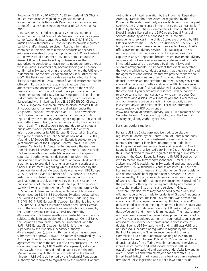Resolución S.B.P. No 017-2007. / UBS Switzerland AG Oficina de Representación es regulada y supervisada por la Superintendencia de Bancos de Panamá. Licencia para operar como Oficina de Representación Resolución S.B.P. No. 0178- 2015.

UBS Asesores SA, Entidad Regulada y Supervisada por la Superintendencia del Mercado de Valores. Licencia para operar como Asesor de Inversiones. Resolución No. CNV-316-01. Russia UBS Switzerland AG is not licensed to provide regulated banking and/or financial services in Russia. Information contained in this document refers to products and services exclusively available through and provided by UBS Switzerland AG in Switzerland or another UBS entity domiciled outside Russia. UBS employees travelling to Russia are neither authorized to conclude contracts nor to negotiate terms thereof while in Russia. Contracts only become binding on UBS once confirmed in Switzerland or in the location where the UBS entity is domiciled. The Wealth Management Advisory Office within OOO UBS Bank does not provide services for which banking license is required in Russia. Certain financial instruments can be offered in Russia only to the qualified investors. Any attachments and documents with reference to the specific financial instruments do not constitute a personal investment recommendation under Russian law. Singapore This publication is distributed by UBS AG Singapore Branch, incorporated in Switzerland with limited liability, UEN S98FC5560C. Clients of UBS AG Singapore branch are asked to please contact UBS AG Singapore branch, an exempt financial adviser under the Singapore Financial Advisers Act (Cap. 110) and a wholesale bank licensed under the Singapore Banking Act (Cap. 19) regulated by the Monetary Authority of Singapore, in respect of any matters arising from, or in connection with, the analysis or report. Spain This publication is not intended to constitute a public offer under Spanish law. It is distributed only for information purposes by UBS Europe SE, Sucursal en España, with place of business at Calle María de Molina 4, C.P. 28006, Madrid. UBS Europe SE, Sucursal en España is subject to the joint supervision of the European Central Bank ("ECB"), the German Central bank (Deutsche Bundesbank), the German Federal Financial Services Supervisory Authority (Bundesanstalt für Finanzdienstleistungsaufsicht), as well as of the Spanish supervisory authority (Banco de España), to which this publication has not been submitted for approval. Additionally it is authorized to provide investment services on securities and financial instruments, regarding which it is supervised by the Comisión Nacional del Mercado de Valores as well. UBS Europe SE, Sucursal en España is a branch of UBS Europe SE, a credit institution constituted under German law in the form of a Societas Europaea, duly authorized by the ECB. Sweden This publication is not intended to constitute a public offer under Swedish law. It is distributed only for information purposes by UBS Europe SE, Sweden Bankfilial, with place of business at Regeringsgatan 38, 11153 Stockholm, Sweden, registered with the Swedish Companies Registration Office under Reg. No 516406-1011. UBS Europe SE, Sweden Bankfilial is a branch of UBS Europe SE, a credit institution constituted under German law in the form of a Societas Europaea which is authorized by the German Federal Financial Supervisory Authority (Bundesanstalt für Finanzdienstleistungsaufsicht, BaFin), and is subiect to the joint supervision of the European Central Bank, the German Central bank (Deutsche Bundesbank) and the BaFin. UBS Europe SE, Sweden Bankfilial is furthermore supervised by the Swedish supervisory authority (Finansinspektionen), to which this publication has not been submitted for approval. Taiwan This material is provided by UBS AG, Taipei Branch in accordance with laws of Taiwan, in agreement with or at the request of clients/prospects. UK This document is issued by UBS Wealth Management, a division of UBS AG which is authorised and regulated by the Financial Market Supervisory Authority in Switzerland. In the United Kingdom, UBS AG is authorised by the Prudential Regulation Authority and is subject to regulation by the Financial Conduct

Authority and limited regulation by the Prudential Regulation Authority. Details about the extent of regulation by the Prudential Regulation Authority are available from us on request. UAE/DIFC UBS is not licensed in the UAE by the Central Bank of UAE or by the Securities & Commodities Authority. The UBS AG Dubai Branch is licensed in the DIFC by the Dubai Financial Services Authority as an authorised firm. US Wealth management services in the United States are provided by UBS Financial Services Inc. ("UBSFS"), a subsidiary of UBS AG. As a firm providing wealth management services to clients, UBS-FS offers investment advisory services in its capacity as an SECregistered investment adviser and brokerage services in its capacity as an SEC-registered broker-dealer. Investment advisory services and brokerage services are separate and distinct, differ in material ways and are governed by different laws and separate arrangements. It is important that clients understand the ways in which we conduct business, that they carefully read the agreements and disclosures that we provide to them about the products or services we offer. A small number of our financial advisors are not permitted to offer advisory services to you and can only work with you directly as UBS broker-dealer representatives. Your financial advisor will let you know if this is the case and, if you desire advisory services, will be happy to refer you to another financial advisor who can help you. Our agreements and disclosures will inform you about whether we and our financial advisors are acting in our capacity as an investment adviser or broker-dealer. For more information, please review the PDF document at [www.ubs.com/relationshipsummary.](http://www.ubs.com/workingwithus) UBS-FS is a member of the Securities Investor Protection Corp. (SIPC) and the Financial

#### For cross-border situations

Industry Regulatory Authority (FINRA).

Bahrain: UBS is a Swiss bank not licensed, supervised or regulated in Bahrain by the Central Bank of Bahrain and does not undertake banking or investment business activities in Bahrain. Therefore, clients have no protection under local banking and investment services laws and regulations. Czech Republic: UBS is not a licensed bank in the Czech Republic and thus is not allowed to provide regulated banking or investment services in the Czech Republic. Please notify UBS if you do not wish to receive any further correspondence. Greece: UBS Switzerland AG is established in Switzerland and operates under Swiss law. UBS Switzerland AG and its affiliates (UBS) are not licensed as a bank or financial institution under Greek legislation and do not provide banking and financial services in Greece. Consequently, UBS provides such services from branches outside of Greece, only. No information in this document is provided for the purpose of offering, marketing and sale by any means of any capital market instruments and services in Greece. Therefore, this document may not be considered as a public offering made or to be made to residents of Greece." Indonesia, Malaysia, Philippines, Thailand: This material was provided to you as a result of a request received by UBS from you and/or persons entitled to make the request on your behalf. Should you have received the material erroneously, UBS asks that you kindly destroy/delete it and inform UBS immediately. The material may not have been reviewed, approved, disapproved or endorsed by any financial or regulatory authority in your jurisdiction. You are advised to seek independent professional advice in case of doubt. Nigeria: UBS Switzerland AG and its affiliates (UBS) are not licensed, supervised or regulated in Nigeria by the Central Bank of Nigeria or the Nigerian Securities and Exchange Commission and do not undertake banking or investment business activities in Nigeria. Poland: "UBS is a premier global financial services firm offering wealth management services to individual, corporate and institutional investors. UBS is established in Switzerland and operates under Swiss law and in over 50 countries and from all major financial centres. UBS [insert Legal Entity] is not licensed as a bank or as an investment firm under Polish legislation and is not allowed to provide